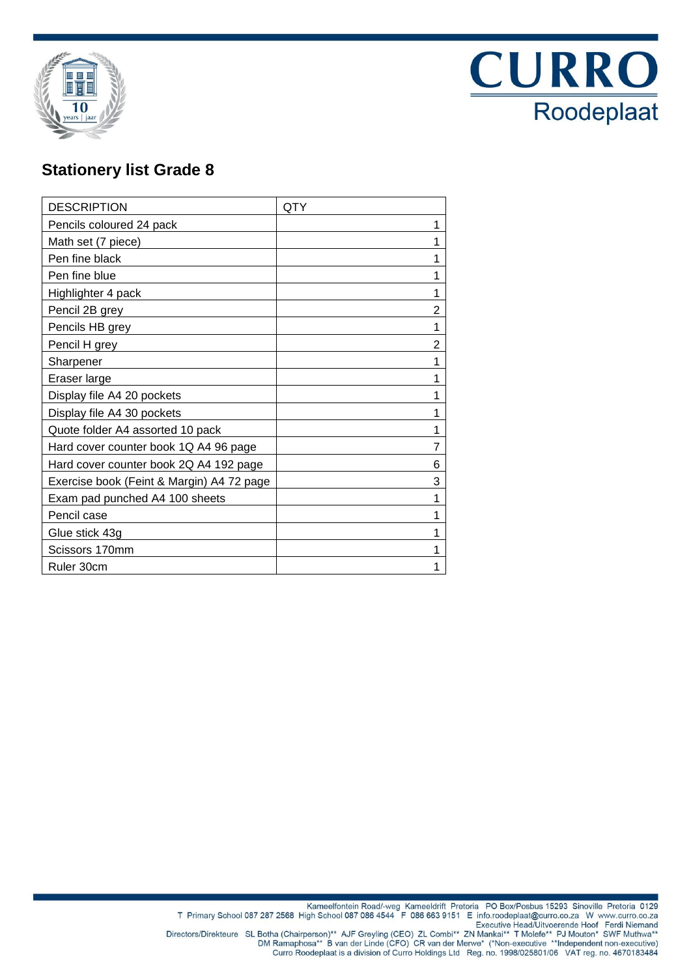



## **Stationery list Grade 8**

| <b>DESCRIPTION</b>                        | QTY |
|-------------------------------------------|-----|
| Pencils coloured 24 pack                  | 1   |
| Math set (7 piece)                        | 1   |
| Pen fine black                            | 1   |
| Pen fine blue                             | 1   |
| Highlighter 4 pack                        |     |
| Pencil 2B grey                            | 2   |
| Pencils HB grey                           | 1   |
| Pencil H grey                             | 2   |
| Sharpener                                 | 1   |
| Eraser large                              | 1   |
| Display file A4 20 pockets                | 1   |
| Display file A4 30 pockets                | 1   |
| Quote folder A4 assorted 10 pack          | 1   |
| Hard cover counter book 1Q A4 96 page     | 7   |
| Hard cover counter book 2Q A4 192 page    | 6   |
| Exercise book (Feint & Margin) A4 72 page | 3   |
| Exam pad punched A4 100 sheets            | 1   |
| Pencil case                               | 1   |
| Glue stick 43g                            | 1   |
| Scissors 170mm                            | 1   |
| Ruler 30cm                                | 1   |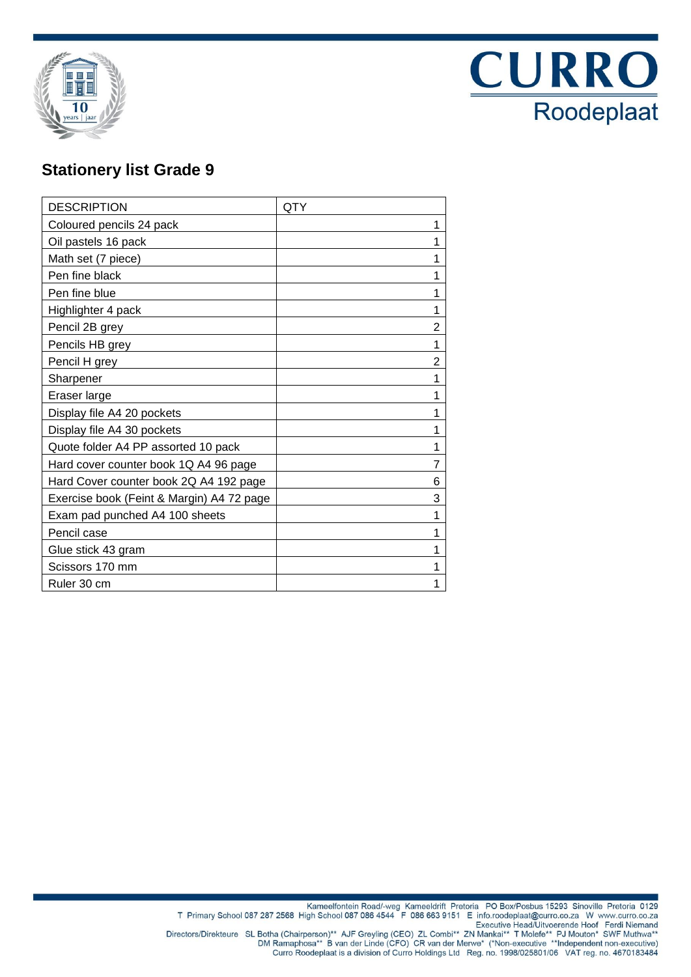



## **Stationery list Grade 9**

| <b>DESCRIPTION</b>                        | QTY |
|-------------------------------------------|-----|
| Coloured pencils 24 pack                  | 1   |
| Oil pastels 16 pack                       |     |
| Math set (7 piece)                        |     |
| Pen fine black                            |     |
| Pen fine blue                             | 1   |
| Highlighter 4 pack                        |     |
| Pencil 2B grey                            | 2   |
| Pencils HB grey                           | 1   |
| Pencil H grey                             | 2   |
| Sharpener                                 |     |
| Eraser large                              |     |
| Display file A4 20 pockets                |     |
| Display file A4 30 pockets                | 1   |
| Quote folder A4 PP assorted 10 pack       |     |
| Hard cover counter book 1Q A4 96 page     |     |
| Hard Cover counter book 2Q A4 192 page    | 6   |
| Exercise book (Feint & Margin) A4 72 page | 3   |
| Exam pad punched A4 100 sheets            |     |
| Pencil case                               |     |
| Glue stick 43 gram                        |     |
| Scissors 170 mm                           |     |
| Ruler 30 cm                               |     |